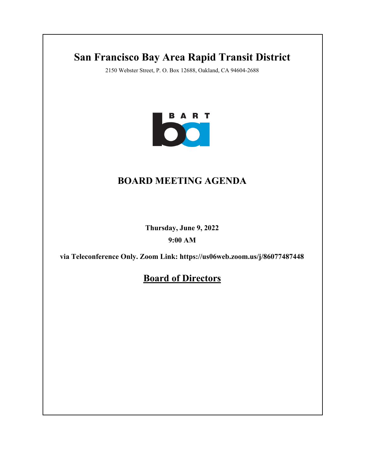# **San Francisco Bay Area Rapid Transit District**

2150 Webster Street, P. O. Box 12688, Oakland, CA 94604-2688



# **BOARD MEETING AGENDA**

**Thursday, June 9, 2022**

**9:00 AM**

**via Teleconference Only. Zoom Link: https://us06web.zoom.us/j/86077487448**

**Board of Directors**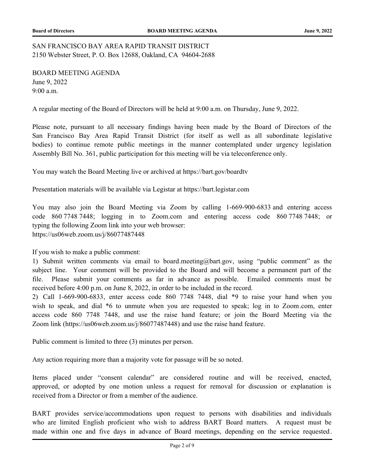## SAN FRANCISCO BAY AREA RAPID TRANSIT DISTRICT 2150 Webster Street, P. O. Box 12688, Oakland, CA 94604-2688

BOARD MEETING AGENDA June 9, 2022 9:00 a.m.

A regular meeting of the Board of Directors will be held at 9:00 a.m. on Thursday, June 9, 2022.

Please note, pursuant to all necessary findings having been made by the Board of Directors of the San Francisco Bay Area Rapid Transit District (for itself as well as all subordinate legislative bodies) to continue remote public meetings in the manner contemplated under urgency legislation Assembly Bill No. 361, public participation for this meeting will be via teleconference only.

You may watch the Board Meeting live or archived at https://bart.gov/boardtv

Presentation materials will be available via Legistar at https://bart.legistar.com

You may also join the Board Meeting via Zoom by calling 1-669-900-6833 and entering access code 860 7748 7448; logging in to Zoom.com and entering access code 860 7748 7448; or typing the following Zoom link into your web browser: https://us06web.zoom.us/j/86077487448

If you wish to make a public comment:

1) Submit written comments via email to board.meeting@bart.gov, using "public comment" as the subject line. Your comment will be provided to the Board and will become a permanent part of the file. Please submit your comments as far in advance as possible. Emailed comments must be received before 4:00 p.m. on June 8, 2022, in order to be included in the record.

2) Call 1-669-900-6833, enter access code 860 7748 7448, dial \*9 to raise your hand when you wish to speak, and dial \*6 to unmute when you are requested to speak; log in to Zoom.com, enter access code 860 7748 7448, and use the raise hand feature; or join the Board Meeting via the Zoom link (https://us06web.zoom.us/j/86077487448) and use the raise hand feature.

Public comment is limited to three (3) minutes per person.

Any action requiring more than a majority vote for passage will be so noted.

Items placed under "consent calendar" are considered routine and will be received, enacted, approved, or adopted by one motion unless a request for removal for discussion or explanation is received from a Director or from a member of the audience.

BART provides service/accommodations upon request to persons with disabilities and individuals who are limited English proficient who wish to address BART Board matters. A request must be made within one and five days in advance of Board meetings, depending on the service requested.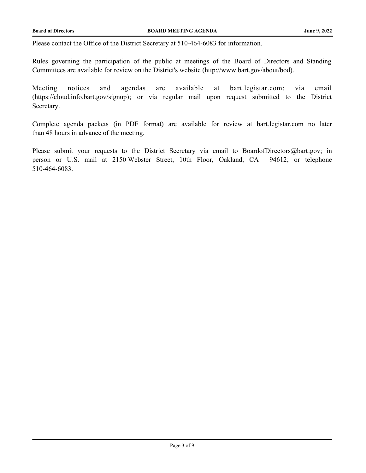Please contact the Office of the District Secretary at 510-464-6083 for information.

Rules governing the participation of the public at meetings of the Board of Directors and Standing Committees are available for review on the District's website (http://www.bart.gov/about/bod).

Meeting notices and agendas are available at bart.legistar.com; via email (https://cloud.info.bart.gov/signup); or via regular mail upon request submitted to the District Secretary.

Complete agenda packets (in PDF format) are available for review at bart.legistar.com no later than 48 hours in advance of the meeting.

Please submit your requests to the District Secretary via email to BoardofDirectors@bart.gov; in person or U.S. mail at 2150 Webster Street, 10th Floor, Oakland, CA 94612; or telephone 510-464-6083.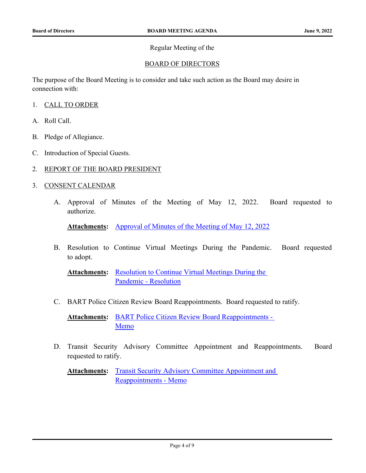### Regular Meeting of the

### BOARD OF DIRECTORS

The purpose of the Board Meeting is to consider and take such action as the Board may desire in connection with:

- 1. CALL TO ORDER
- A. Roll Call.
- B. Pledge of Allegiance.
- C. Introduction of Special Guests.
- 2. REPORT OF THE BOARD PRESIDENT
- 3. CONSENT CALENDAR
	- A. [Approval of Minutes of the Meeting of May 12,](http://bart.legistar.com/gateway.aspx?m=l&id=/matter.aspx?key=2684) 2022. Board requested to authorize.

**Attachments:** [Approval of Minutes of the Meeting of May 12, 2022](http://bart.legistar.com/gateway.aspx?M=F&ID=5304c8c9-9f5a-4031-bcdf-5ef21b2bcd3b.pdf)

B. [Resolution to Continue Virtual Meetings During the Pandemic. Board requested](http://bart.legistar.com/gateway.aspx?m=l&id=/matter.aspx?key=2685) to adopt.

Attachments: Resolution to Continue Virtual Meetings During the Pandemic - Resolution

C. [BART Police Citizen Review Board Reappointments. Board requested to ratify.](http://bart.legistar.com/gateway.aspx?m=l&id=/matter.aspx?key=2686)

[BART Police Citizen Review Board Reappointments -](http://bart.legistar.com/gateway.aspx?M=F&ID=e5aec9c1-8222-48be-b93e-fad585355490.pdf)  Memo **Attachments:**

D. [Transit Security Advisory Committee Appointment and Reappointments. Board](http://bart.legistar.com/gateway.aspx?m=l&id=/matter.aspx?key=2687) requested to ratify.

Attachments: Transit Security Advisory Committee Appointment and Reappointments - Memo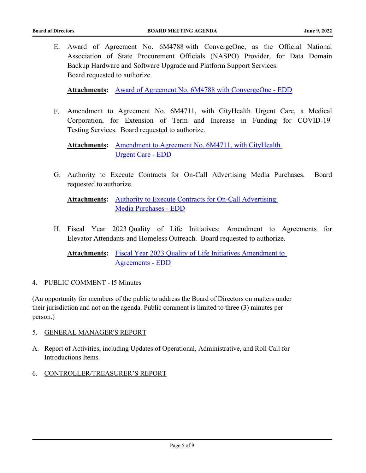E. [Award of Agreement No. 6M4788 with ConvergeOne, as the Official National](http://bart.legistar.com/gateway.aspx?m=l&id=/matter.aspx?key=2689) Association of State Procurement Officials (NASPO) Provider, for Data Domain Backup Hardware and Software Upgrade and Platform Support Services. Board requested to authorize.

**Attachments:** [Award of Agreement No. 6M4788 with ConvergeOne - EDD](http://bart.legistar.com/gateway.aspx?M=F&ID=de7c6792-6fd5-4e36-866a-68743a251f4e.pdf)

F. [Amendment to Agreement No. 6M4711, with CityHealth Urgent Care, a Medical](http://bart.legistar.com/gateway.aspx?m=l&id=/matter.aspx?key=2690) Corporation, for Extension of Term and Increase in Funding for COVID-19 Testing Services. Board requested to authorize.

Attachments: Amendment to Agreement No. 6M4711, with CityHealth Urgent Care - EDD

G. [Authority to Execute Contracts for On-Call Advertising Media Purchases. Board](http://bart.legistar.com/gateway.aspx?m=l&id=/matter.aspx?key=2691) requested to authorize.

Attachments: Authority to Execute Contracts for On-Call Advertising Media Purchases - EDD

H. [Fiscal Year 2023 Quality of Life Initiatives: Amendment to Agreements for](http://bart.legistar.com/gateway.aspx?m=l&id=/matter.aspx?key=2692) Elevator Attendants and Homeless Outreach. Board requested to authorize.

Attachments: Fiscal Year 2023 Quality of Life Initiatives Amendment to Agreements - EDD

#### 4. PUBLIC COMMENT - l5 Minutes

(An opportunity for members of the public to address the Board of Directors on matters under their jurisdiction and not on the agenda. Public comment is limited to three (3) minutes per person.)

- 5. GENERAL MANAGER'S REPORT
- A. Report of Activities, including Updates of Operational, Administrative, and Roll Call for Introductions Items.
- 6. CONTROLLER/TREASURER'S REPORT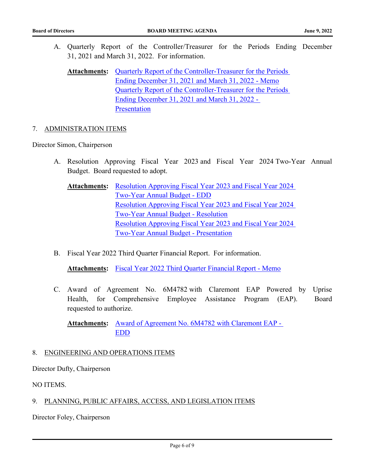A. [Quarterly Report of the Controller/Treasurer for the Periods Ending December](http://bart.legistar.com/gateway.aspx?m=l&id=/matter.aspx?key=2694) 31, 2021 and March 31, 2022. For information.

Attachments: Quarterly Report of the Controller-Treasurer for the Periods Ending December 31, 2021 and March 31, 2022 - Memo [Quarterly Report of the Controller-Treasurer for the Periods](http://bart.legistar.com/gateway.aspx?M=F&ID=e0cb19e0-043b-4197-9d47-f89477463846.pdf)  Ending December 31, 2021 and March 31, 2022 - Presentation

#### 7. ADMINISTRATION ITEMS

Director Simon, Chairperson

- A. [Resolution Approving Fiscal Year 2023 and Fiscal Year 2024 Two-Year Annual](http://bart.legistar.com/gateway.aspx?m=l&id=/matter.aspx?key=2695) Budget. Board requested to adopt.
	- Attachments: Resolution Approving Fiscal Year 2023 and Fiscal Year 2024 Two-Year Annual Budget - EDD [Resolution Approving Fiscal Year 2023 and Fiscal Year 2024](http://bart.legistar.com/gateway.aspx?M=F&ID=087b8d39-04f6-412b-8b3c-c7807592b163.pdf)  Two-Year Annual Budget - Resolution [Resolution Approving Fiscal Year 2023 and Fiscal Year 2024](http://bart.legistar.com/gateway.aspx?M=F&ID=05a4b3a7-169c-4e47-b14e-72fe69fb59f9.pdf)  Two-Year Annual Budget - Presentation
- B. [Fiscal Year 2022 Third Quarter Financial Report. For information.](http://bart.legistar.com/gateway.aspx?m=l&id=/matter.aspx?key=2696)

**Attachments:** [Fiscal Year 2022 Third Quarter Financial Report - Memo](http://bart.legistar.com/gateway.aspx?M=F&ID=1e34f332-26bd-46a7-be93-822c580a1f21.pdf)

C. [Award of Agreement No. 6M4782 with Claremont EAP Powered by Uprise](http://bart.legistar.com/gateway.aspx?m=l&id=/matter.aspx?key=2697) Health, for Comprehensive Employee Assistance Program (EAP). Board requested to authorize.

Attachments: Award of Agreement No. 6M4782 with Claremont EAP -EDD

#### 8. ENGINEERING AND OPERATIONS ITEMS

Director Dufty, Chairperson

NO ITEMS.

#### 9. PLANNING, PUBLIC AFFAIRS, ACCESS, AND LEGISLATION ITEMS

Director Foley, Chairperson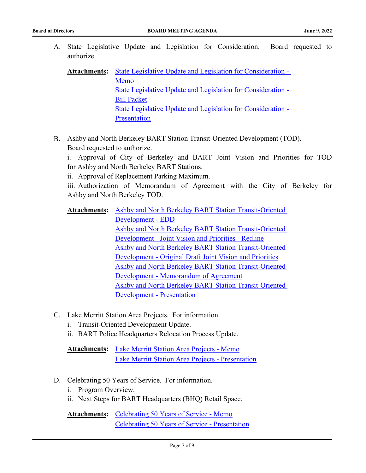A. [State Legislative Update and Legislation for Consideration. Board requested to](http://bart.legistar.com/gateway.aspx?m=l&id=/matter.aspx?key=2698) authorize.

| <b>Attachments:</b> | State Legislative Update and Legislation for Consideration - |  |
|---------------------|--------------------------------------------------------------|--|
|                     | Memo                                                         |  |
|                     | State Legislative Update and Legislation for Consideration - |  |
|                     | <b>Bill Packet</b>                                           |  |
|                     | State Legislative Update and Legislation for Consideration - |  |
|                     | Presentation                                                 |  |

B. Ashby and North Berkeley BART Station Transit-Oriented Development (TOD). Board requested to authorize.

i. Approval of City of Berkeley and BART Joint Vision and Priorities for TOD for Ashby and North Berkeley BART Stations.

ii. Approval of Replacement Parking Maximum.

iii. [Authorization of Memorandum of Agreement with the City of Berkeley for](http://bart.legistar.com/gateway.aspx?m=l&id=/matter.aspx?key=2699) Ashby and North Berkeley TOD.

- Attachments: Ashby and North Berkeley BART Station Transit-Oriented Development - EDD [Ashby and North Berkeley BART Station Transit-Oriented](http://bart.legistar.com/gateway.aspx?M=F&ID=aa8c8c30-c91b-48ed-9de0-486b3768b54d.pdf)  Development - Joint Vision and Priorities - Redline [Ashby and North Berkeley BART Station Transit-Oriented](http://bart.legistar.com/gateway.aspx?M=F&ID=5957f7ac-4c71-41a1-b3c1-8072abb563a9.pdf)  Development - Original Draft Joint Vision and Priorities [Ashby and North Berkeley BART Station Transit-Oriented](http://bart.legistar.com/gateway.aspx?M=F&ID=fd2b6111-b4c0-4f66-a46d-3a5c0421cb81.pdf)  Development - Memorandum of Agreement [Ashby and North Berkeley BART Station Transit-Oriented](http://bart.legistar.com/gateway.aspx?M=F&ID=8a0b1fc6-d436-4be8-b47a-c552b98a34d8.pdf)  Development - Presentation
- C. Lake Merritt Station Area Projects. For information.
	- i. Transit-Oriented Development Update.
	- ii. [BART Police Headquarters Relocation Process Update.](http://bart.legistar.com/gateway.aspx?m=l&id=/matter.aspx?key=2700)

Attachments: [Lake Merritt Station Area Projects - Memo](http://bart.legistar.com/gateway.aspx?M=F&ID=a8554300-a622-4498-ae08-98dba4197d9e.pdf) [Lake Merritt Station Area Projects - Presentation](http://bart.legistar.com/gateway.aspx?M=F&ID=5798c452-e6c8-4d6a-a70a-5561052b6a7a.pdf)

- D. Celebrating 50 Years of Service. For information.
	- i. Program Overview.
	- ii. [Next Steps for BART Headquarters \(BHQ\) Retail Space.](http://bart.legistar.com/gateway.aspx?m=l&id=/matter.aspx?key=2701)

Attachments: [Celebrating 50 Years of Service - Memo](http://bart.legistar.com/gateway.aspx?M=F&ID=ed8f087d-c174-4087-8986-93b04d02b4ae.pdf) [Celebrating 50 Years of Service - Presentation](http://bart.legistar.com/gateway.aspx?M=F&ID=254c59fc-74d1-4579-ac56-466bc0ea27a6.pdf)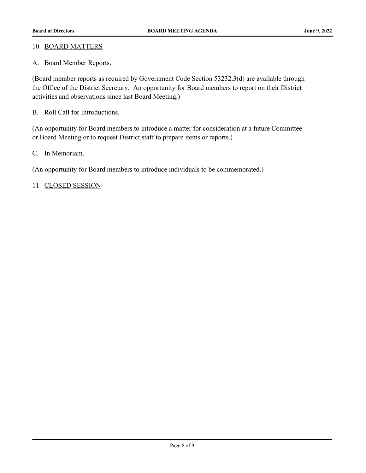#### 10. BOARD MATTERS

A. Board Member Reports.

(Board member reports as required by Government Code Section 53232.3(d) are available through the Office of the District Secretary. An opportunity for Board members to report on their District activities and observations since last Board Meeting.)

B. Roll Call for Introductions.

(An opportunity for Board members to introduce a matter for consideration at a future Committee or Board Meeting or to request District staff to prepare items or reports.)

C. In Memoriam.

(An opportunity for Board members to introduce individuals to be commemorated.)

#### 11. CLOSED SESSION